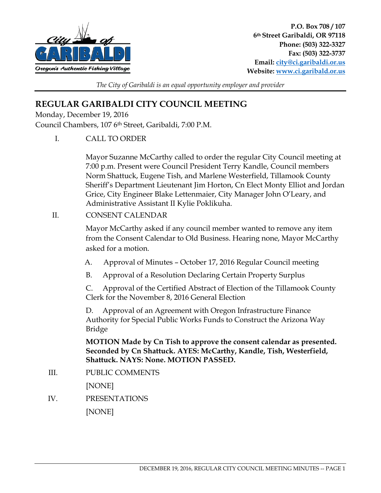

*The City of Garibaldi is an equal opportunity employer and provider* 

## **REGULAR GARIBALDI CITY COUNCIL MEETING**

Monday, December 19, 2016

Council Chambers, 107 6th Street, Garibaldi, 7:00 P.M.

I. CALL TO ORDER

Mayor Suzanne McCarthy called to order the regular City Council meeting at 7:00 p.m. Present were Council President Terry Kandle, Council members Norm Shattuck, Eugene Tish, and Marlene Westerfield, Tillamook County Sheriff's Department Lieutenant Jim Horton, Cn Elect Monty Elliot and Jordan Grice, City Engineer Blake Lettenmaier, City Manager John O'Leary, and Administrative Assistant II Kylie Poklikuha.

## II. CONSENT CALENDAR

Mayor McCarthy asked if any council member wanted to remove any item from the Consent Calendar to Old Business. Hearing none, Mayor McCarthy asked for a motion.

- A. Approval of Minutes October 17, 2016 Regular Council meeting
- B. Approval of a Resolution Declaring Certain Property Surplus

C. Approval of the Certified Abstract of Election of the Tillamook County Clerk for the November 8, 2016 General Election

D. Approval of an Agreement with Oregon Infrastructure Finance Authority for Special Public Works Funds to Construct the Arizona Way Bridge

**MOTION Made by Cn Tish to approve the consent calendar as presented. Seconded by Cn Shattuck. AYES: McCarthy, Kandle, Tish, Westerfield, Shattuck. NAYS: None. MOTION PASSED.** 

III. PUBLIC COMMENTS

[NONE]

IV. PRESENTATIONS

[NONE]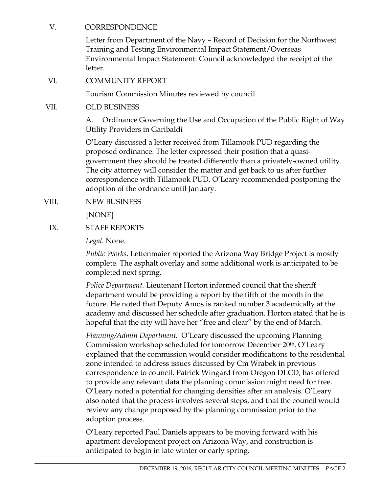## V. CORRESPONDENCE

Letter from Department of the Navy – Record of Decision for the Northwest Training and Testing Environmental Impact Statement/Overseas Environmental Impact Statement: Council acknowledged the receipt of the letter.

VI. COMMUNITY REPORT

Tourism Commission Minutes reviewed by council.

VII. OLD BUSINESS

 A. Ordinance Governing the Use and Occupation of the Public Right of Way Utility Providers in Garibaldi

 O'Leary discussed a letter received from Tillamook PUD regarding the proposed ordinance. The letter expressed their position that a quasigovernment they should be treated differently than a privately-owned utility. The city attorney will consider the matter and get back to us after further correspondence with Tillamook PUD. O'Leary recommended postponing the adoption of the ordnance until January.

VIII. NEW BUSINESS

[NONE]

IX. STAFF REPORTS

*Legal.* None.

*Public Works*. Lettenmaier reported the Arizona Way Bridge Project is mostly complete. The asphalt overlay and some additional work is anticipated to be completed next spring.

*Police Department.* Lieutenant Horton informed council that the sheriff department would be providing a report by the fifth of the month in the future. He noted that Deputy Amos is ranked number 3 academically at the academy and discussed her schedule after graduation. Horton stated that he is hopeful that the city will have her "free and clear" by the end of March.

*Planning/Admin Department.* O'Leary discussed the upcoming Planning Commission workshop scheduled for tomorrow December 20th. O'Leary explained that the commission would consider modifications to the residential zone intended to address issues discussed by Cm Wrabek in previous correspondence to council. Patrick Wingard from Oregon DLCD, has offered to provide any relevant data the planning commission might need for free. O'Leary noted a potential for changing densities after an analysis. O'Leary also noted that the process involves several steps, and that the council would review any change proposed by the planning commission prior to the adoption process.

O'Leary reported Paul Daniels appears to be moving forward with his apartment development project on Arizona Way, and construction is anticipated to begin in late winter or early spring.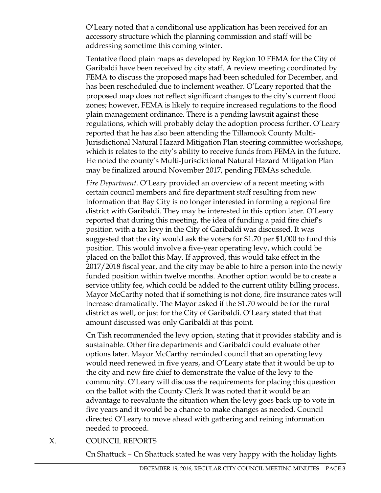O'Leary noted that a conditional use application has been received for an accessory structure which the planning commission and staff will be addressing sometime this coming winter.

Tentative flood plain maps as developed by Region 10 FEMA for the City of Garibaldi have been received by city staff. A review meeting coordinated by FEMA to discuss the proposed maps had been scheduled for December, and has been rescheduled due to inclement weather. O'Leary reported that the proposed map does not reflect significant changes to the city's current flood zones; however, FEMA is likely to require increased regulations to the flood plain management ordinance. There is a pending lawsuit against these regulations, which will probably delay the adoption process further. O'Leary reported that he has also been attending the Tillamook County Multi-Jurisdictional Natural Hazard Mitigation Plan steering committee workshops, which is relates to the city's ability to receive funds from FEMA in the future. He noted the county's Multi-Jurisdictional Natural Hazard Mitigation Plan may be finalized around November 2017, pending FEMAs schedule.

*Fire Department.* O'Leary provided an overview of a recent meeting with certain council members and fire department staff resulting from new information that Bay City is no longer interested in forming a regional fire district with Garibaldi. They may be interested in this option later. O'Leary reported that during this meeting, the idea of funding a paid fire chief's position with a tax levy in the City of Garibaldi was discussed. It was suggested that the city would ask the voters for \$1.70 per \$1,000 to fund this position. This would involve a five-year operating levy, which could be placed on the ballot this May. If approved, this would take effect in the 2017/2018 fiscal year, and the city may be able to hire a person into the newly funded position within twelve months. Another option would be to create a service utility fee, which could be added to the current utility billing process. Mayor McCarthy noted that if something is not done, fire insurance rates will increase dramatically. The Mayor asked if the \$1.70 would be for the rural district as well, or just for the City of Garibaldi. O'Leary stated that that amount discussed was only Garibaldi at this point.

Cn Tish recommended the levy option, stating that it provides stability and is sustainable. Other fire departments and Garibaldi could evaluate other options later. Mayor McCarthy reminded council that an operating levy would need renewed in five years, and O'Leary state that it would be up to the city and new fire chief to demonstrate the value of the levy to the community. O'Leary will discuss the requirements for placing this question on the ballot with the County Clerk It was noted that it would be an advantage to reevaluate the situation when the levy goes back up to vote in five years and it would be a chance to make changes as needed. Council directed O'Leary to move ahead with gathering and reining information needed to proceed.

## X. COUNCIL REPORTS

Cn Shattuck – Cn Shattuck stated he was very happy with the holiday lights